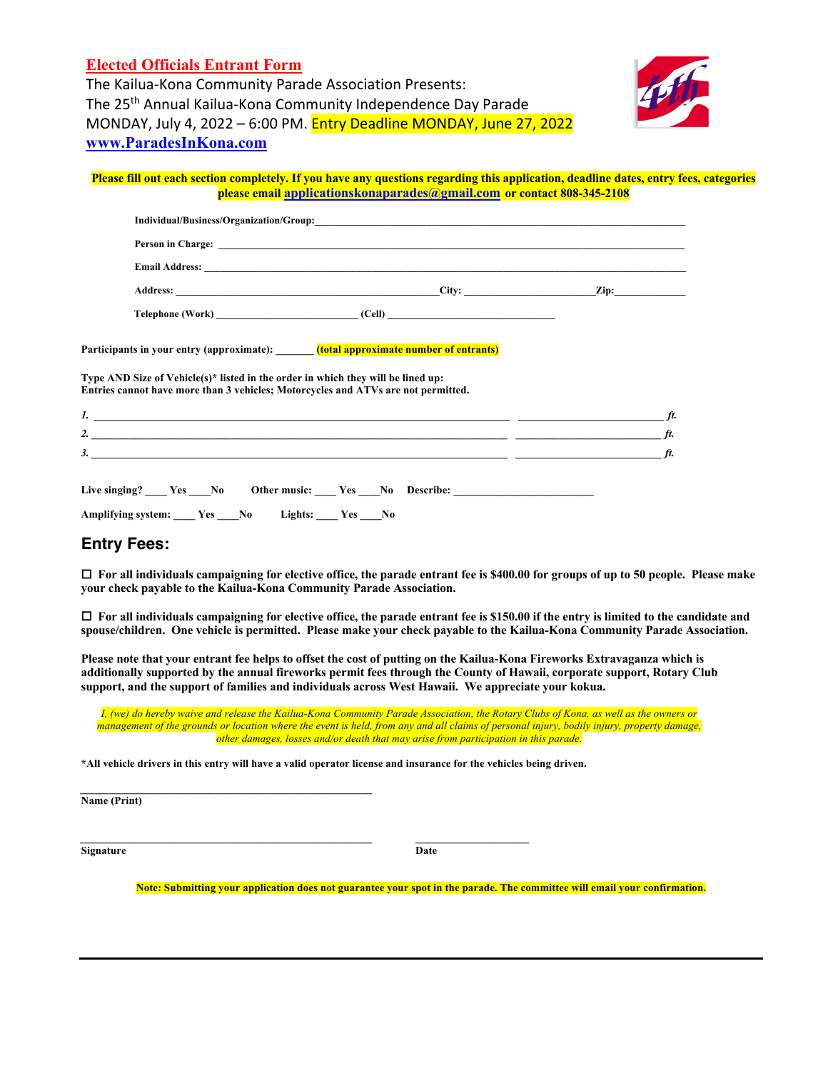### **Elected Officials Entrant Form**

The Kailua-Kona Community Parade Association Presents: The 25<sup>th</sup> Annual Kailua-Kona Community Independence Day Parade MONDAY, July 4, 2022 – 6:00 PM. Entry Deadline MONDAY, June 27, 2022 **www.ParadesInKona.com**



#### **Please fill out each section completely. If you have any questions regarding this application, deadline dates, entry fees, categories please email applicationskonaparades@gmail.com or contact 808-345-2108**

|                  | City:  | Zip: |
|------------------|--------|------|
| Telephone (Work) | (Cell) |      |

**Participants in your entry (approximate): \_\_\_\_\_\_\_ (total approximate number of entrants)**

**Type AND Size of Vehicle(s)\* listed in the order in which they will be lined up: Entries cannot have more than 3 vehicles; Motorcycles and ATVs are not permitted.**

| $\mathbf{I}$ . The contract of the contract of the contract of the contract of the contract of the contract of the contract of the contract of the contract of the contract of the contract of the contract of the contract of the | $\mathcal{H}$ |
|------------------------------------------------------------------------------------------------------------------------------------------------------------------------------------------------------------------------------------|---------------|
| $\mathbf{2.}$                                                                                                                                                                                                                      | ft.           |
| 3.                                                                                                                                                                                                                                 | ft.           |
|                                                                                                                                                                                                                                    |               |
| Live singing? Yes No Other music: Yes No Describe:                                                                                                                                                                                 |               |
| Amplifying system: Yes No<br>Lights: Yes No                                                                                                                                                                                        |               |

#### **Entry Fees:**

¨ **For all individuals campaigning for elective office, the parade entrant fee is \$400.00 for groups of up to 50 people. Please make your check payable to the Kailua-Kona Community Parade Association.** 

□ For all individuals campaigning for elective office, the parade entrant fee is \$150.00 if the entry is limited to the candidate and **spouse/children. One vehicle is permitted. Please make your check payable to the Kailua-Kona Community Parade Association.** 

**Please note that your entrant fee helps to offset the cost of putting on the Kailua-Kona Fireworks Extravaganza which is additionally supported by the annual fireworks permit fees through the County of Hawaii, corporate support, Rotary Club support, and the support of families and individuals across West Hawaii. We appreciate your kokua.**

*I, (we) do hereby waive and release the Kailua-Kona Community Parade Association, the Rotary Clubs of Kona, as well as the owners or management of the grounds or location where the event is held, from any and all claims of personal injury, bodily injury, property damage, other damages, losses and/or death that may arise from participation in this parade.*

**\*All vehicle drivers in this entry will have a valid operator license and insurance for the vehicles being driven.**

 $\mathcal{L} = \{ \mathcal{L} \mathcal{L} \mathcal{L} \mathcal{L} \mathcal{L} \mathcal{L} \mathcal{L} \mathcal{L} \mathcal{L} \mathcal{L} \mathcal{L} \mathcal{L} \mathcal{L} \mathcal{L} \mathcal{L} \mathcal{L} \mathcal{L} \mathcal{L} \mathcal{L} \mathcal{L} \mathcal{L} \mathcal{L} \mathcal{L} \mathcal{L} \mathcal{L} \mathcal{L} \mathcal{L} \mathcal{L} \mathcal{L} \mathcal{L} \mathcal{L} \mathcal{L} \mathcal{L} \mathcal{L} \mathcal{L} \$ 

**Name (Print)**

*\_\_\_\_\_\_\_\_\_\_\_\_\_\_\_\_\_\_\_\_\_\_\_\_\_\_\_\_\_\_\_\_\_\_\_\_\_\_\_\_\_\_\_\_\_\_\_\_\_\_\_\_\_\_ \_\_\_\_\_\_\_\_\_\_\_\_\_\_\_\_\_\_\_\_\_* **Signature** Date

**Note: Submitting your application does not guarantee your spot in the parade. The committee will email your confirmation.**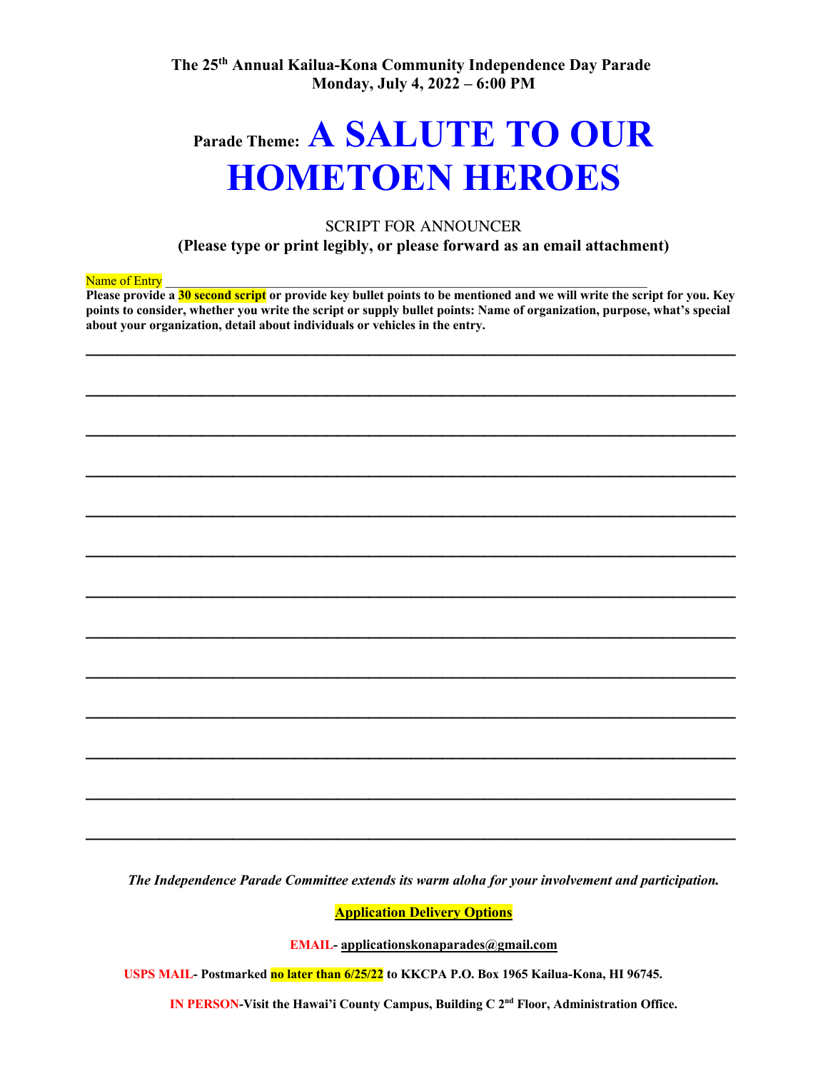# **Parade Theme: A SALUTE TO OUR HOMETOEN HEROES**

#### SCRIPT FOR ANNOUNCER

**(Please type or print legibly, or please forward as an email attachment)**

#### Name of Entry

**Please provide a 30 second script or provide key bullet points to be mentioned and we will write the script for you. Key points to consider, whether you write the script or supply bullet points: Name of organization, purpose, what's special about your organization, detail about individuals or vehicles in the entry.**

**\_\_\_\_\_\_\_\_\_\_\_\_\_\_\_\_\_\_\_\_\_\_\_\_\_\_\_\_\_\_\_\_\_\_\_\_\_\_\_\_\_\_\_\_\_\_\_\_\_\_\_\_\_\_\_\_\_\_\_\_\_\_** 

**\_\_\_\_\_\_\_\_\_\_\_\_\_\_\_\_\_\_\_\_\_\_\_\_\_\_\_\_\_\_\_\_\_\_\_\_\_\_\_\_\_\_\_\_\_\_\_\_\_\_\_\_\_\_\_\_\_\_\_\_\_\_** 

**\_\_\_\_\_\_\_\_\_\_\_\_\_\_\_\_\_\_\_\_\_\_\_\_\_\_\_\_\_\_\_\_\_\_\_\_\_\_\_\_\_\_\_\_\_\_\_\_\_\_\_\_\_\_\_\_\_\_\_\_\_\_** 

**\_\_\_\_\_\_\_\_\_\_\_\_\_\_\_\_\_\_\_\_\_\_\_\_\_\_\_\_\_\_\_\_\_\_\_\_\_\_\_\_\_\_\_\_\_\_\_\_\_\_\_\_\_\_\_\_\_\_\_\_\_\_** 

**\_\_\_\_\_\_\_\_\_\_\_\_\_\_\_\_\_\_\_\_\_\_\_\_\_\_\_\_\_\_\_\_\_\_\_\_\_\_\_\_\_\_\_\_\_\_\_\_\_\_\_\_\_\_\_\_\_\_\_\_\_\_** 

**\_\_\_\_\_\_\_\_\_\_\_\_\_\_\_\_\_\_\_\_\_\_\_\_\_\_\_\_\_\_\_\_\_\_\_\_\_\_\_\_\_\_\_\_\_\_\_\_\_\_\_\_\_\_\_\_\_\_\_\_\_\_** 

**\_\_\_\_\_\_\_\_\_\_\_\_\_\_\_\_\_\_\_\_\_\_\_\_\_\_\_\_\_\_\_\_\_\_\_\_\_\_\_\_\_\_\_\_\_\_\_\_\_\_\_\_\_\_\_\_\_\_\_\_\_\_** 

**\_\_\_\_\_\_\_\_\_\_\_\_\_\_\_\_\_\_\_\_\_\_\_\_\_\_\_\_\_\_\_\_\_\_\_\_\_\_\_\_\_\_\_\_\_\_\_\_\_\_\_\_\_\_\_\_\_\_\_\_\_\_** 

**\_\_\_\_\_\_\_\_\_\_\_\_\_\_\_\_\_\_\_\_\_\_\_\_\_\_\_\_\_\_\_\_\_\_\_\_\_\_\_\_\_\_\_\_\_\_\_\_\_\_\_\_\_\_\_\_\_\_\_\_\_\_** 

**\_\_\_\_\_\_\_\_\_\_\_\_\_\_\_\_\_\_\_\_\_\_\_\_\_\_\_\_\_\_\_\_\_\_\_\_\_\_\_\_\_\_\_\_\_\_\_\_\_\_\_\_\_\_\_\_\_\_\_\_\_\_** 

**\_\_\_\_\_\_\_\_\_\_\_\_\_\_\_\_\_\_\_\_\_\_\_\_\_\_\_\_\_\_\_\_\_\_\_\_\_\_\_\_\_\_\_\_\_\_\_\_\_\_\_\_\_\_\_\_\_\_\_\_\_\_** 

**\_\_\_\_\_\_\_\_\_\_\_\_\_\_\_\_\_\_\_\_\_\_\_\_\_\_\_\_\_\_\_\_\_\_\_\_\_\_\_\_\_\_\_\_\_\_\_\_\_\_\_\_\_\_\_\_\_\_\_\_\_\_** 

**\_\_\_\_\_\_\_\_\_\_\_\_\_\_\_\_\_\_\_\_\_\_\_\_\_\_\_\_\_\_\_\_\_\_\_\_\_\_\_\_\_\_\_\_\_\_\_\_\_\_\_\_\_\_\_\_\_\_\_\_\_\_**

*The Independence Parade Committee extends its warm aloha for your involvement and participation.*

**Application Delivery Options**

**EMAIL- applicationskonaparades@gmail.com**

**USPS MAIL- Postmarked no later than 6/25/22 to KKCPA P.O. Box 1965 Kailua-Kona, HI 96745.**

**IN PERSON-Visit the Hawai'i County Campus, Building C 2nd Floor, Administration Office.**